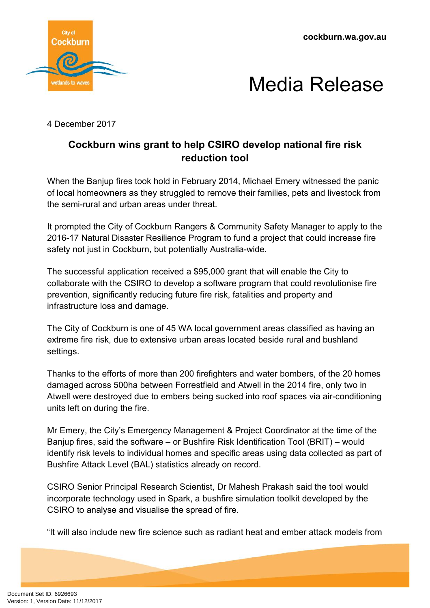**cockburn.wa.gov.au**





4 December 2017

## **Cockburn wins grant to help CSIRO develop national fire risk reduction tool**

When the Banjup fires took hold in February 2014, Michael Emery witnessed the panic of local homeowners as they struggled to remove their families, pets and livestock from the semi-rural and urban areas under threat.

It prompted the City of Cockburn Rangers & Community Safety Manager to apply to the 2016-17 Natural Disaster Resilience Program to fund a project that could increase fire safety not just in Cockburn, but potentially Australia-wide.

The successful application received a \$95,000 grant that will enable the City to collaborate with the CSIRO to develop a software program that could revolutionise fire prevention, significantly reducing future fire risk, fatalities and property and infrastructure loss and damage.

The City of Cockburn is one of 45 WA local government areas classified as having an extreme fire risk, due to extensive urban areas located beside rural and bushland settings.

Thanks to the efforts of more than 200 firefighters and water bombers, of the 20 homes damaged across 500ha between Forrestfield and Atwell in the 2014 fire, only two in Atwell were destroyed due to embers being sucked into roof spaces via air-conditioning units left on during the fire.

Mr Emery, the City's Emergency Management & Project Coordinator at the time of the Banjup fires, said the software – or Bushfire Risk Identification Tool (BRIT) – would identify risk levels to individual homes and specific areas using data collected as part of Bushfire Attack Level (BAL) statistics already on record.

CSIRO Senior Principal Research Scientist, Dr Mahesh Prakash said the tool would incorporate technology used in Spark, a bushfire simulation toolkit developed by the CSIRO to analyse and visualise the spread of fire.

"It will also include new fire science such as radiant heat and ember attack models from